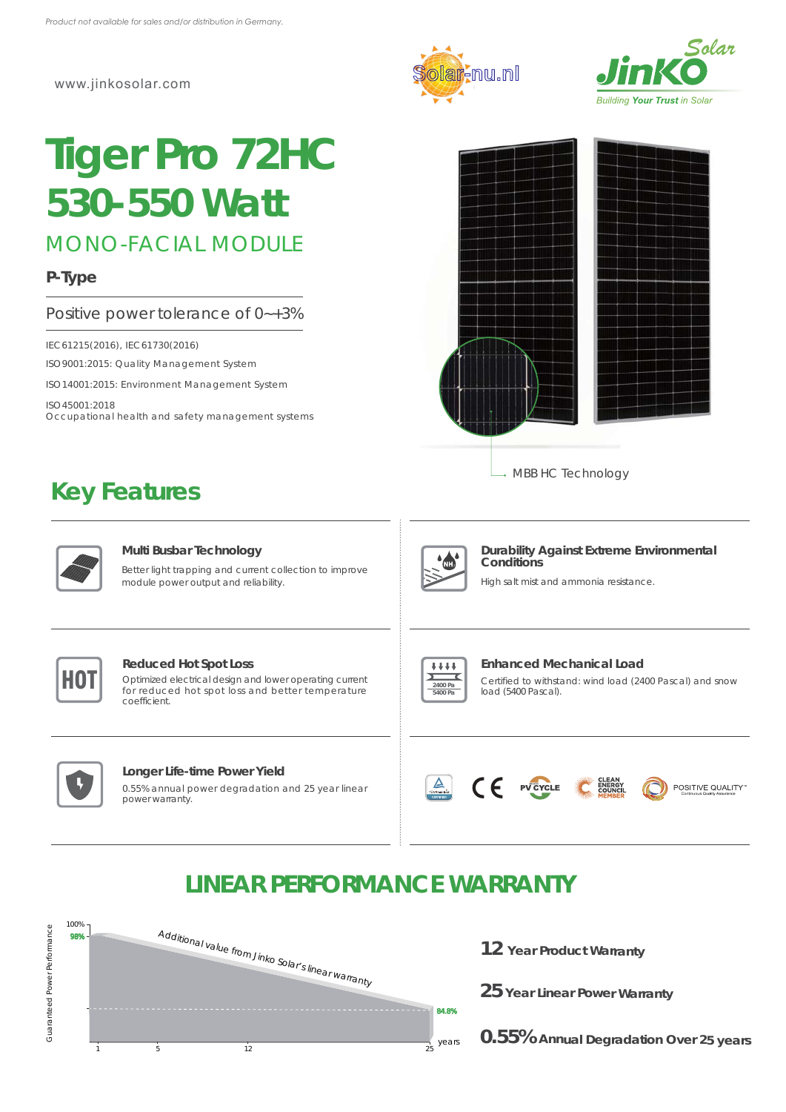www.jinkosolar.com

# **Tiger Pro 72HC** *530-550 Watt*

MONO-FACIAL MODULE

## **P-Type**

#### Positive power tolerance of 0~+3%

IEC61215(2016), IEC61730(2016)

ISO9001:2015: Quality Management System

ISO14001:2015: Environment Management System

ISO45001:2018 Occupational health and safety management systems

## **Key Features**







→ MBB HC Technology



#### **Multi Busbar Technology**

Better light trapping and current collection to improve module power output and reliability.



#### **Durability Against Extreme Environmental Conditions**

High salt mist and ammonia resistance.



#### **Reduced Hot Spot Loss**

**CONSERVANT CONSERVANT CONSERVANT CONSERVANT CONSERVANT CONSERVANT CONSERVANT CONSERVANT CONSERVANT CONSERVANT CONSERVANT CONSERVANT CONSERVANT CONSERVANT CONSERVANT CONSERVANT CONSERVANT CONSERVANT CONSERVANT CONSERVANT C** for reduced hot spot loss and better temperature coefficient.



#### **Longer Life-time Power Yield**

0.55% annual power degradation and 25 year linear power warranty.



#### **Enhanced Mechanical Load**

Certified to withstand: wind load (2400 Pascal) and snow load (5400 Pascal).







# **LINEAR PERFORMANCE WARRANTY**



**12 Year Product Warranty**

**25 Year Linear Power Warranty**

**0.55% Annual Degradation Over 25 years**